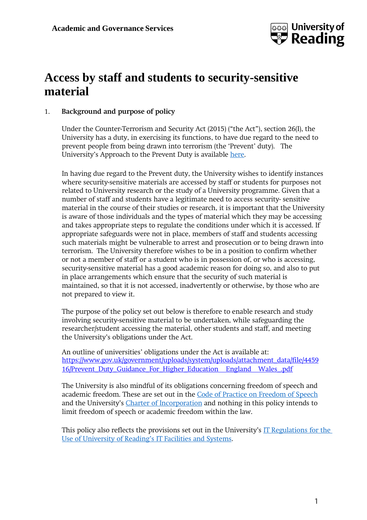

# **Access by staff and students to security-sensitive material**

# 1. **Background and purpose of policy**

Under the Counter-Terrorism and Security Act (2015) ("the Act"), section 26(I), the University has a duty, in exercising its functions, to have due regard to the need to prevent people from being drawn into terrorism (the 'Prevent' duty). The University's Approach to the Prevent Duty is available [here.](http://www.reading.ac.uk/web/files/student-and-academic-services/Approach_to_the_Prevent_Duty.pdf)

In having due regard to the Prevent duty, the University wishes to identify instances where security-sensitive materials are accessed by staff or students for purposes not related to University research or the study of a University programme. Given that a number of staff and students have a legitimate need to access security- sensitive material in the course of their studies or research, it is important that the University is aware of those individuals and the types of material which they may be accessing and takes appropriate steps to regulate the conditions under which it is accessed. If appropriate safeguards were not in place, members of staff and students accessing such materials might be vulnerable to arrest and prosecution or to being drawn into terrorism. The University therefore wishes to be in a position to confirm whether or not a member of staff or a student who is in possession of, or who is accessing, security-sensitive material has a good academic reason for doing so, and also to put in place arrangements which ensure that the security of such material is maintained, so that it is not accessed, inadvertently or otherwise, by those who are not prepared to view it.

The purpose of the policy set out below is therefore to enable research and study involving security-sensitive material to be undertaken, while safeguarding the researcher/student accessing the material, other students and staff, and meeting the University's obligations under the Act.

An outline of universities' obligations under the Act is available at: [https://www.gov.uk/government/uploads/system/uploads/attachment\\_data/file/4459](https://www.gov.uk/government/uploads/system/uploads/attachment_data/file/445916/Prevent_Duty_Guidance_For_Higher_Education__England__Wales_.pdf) 16/Prevent Duty Guidance For Higher Education [England](https://www.gov.uk/government/uploads/system/uploads/attachment_data/file/445916/Prevent_Duty_Guidance_For_Higher_Education__England__Wales_.pdf) Wales .pdf

The University is also mindful of its obligations concerning freedom of speech and academic freedom. These are set out in the [Code of Practice](http://www.reading.ac.uk/web/files/Calendar/19.pdf) on Freedom of Speech and the University's Charter [of Incorporation](http://www.reading.ac.uk/web/files/Calendar/UoR_Charter_201718.pdf) and nothing in this policy intends to limit freedom of speech or academic freedom within the law.

This policy also reflects the provisions set out in the University's IT [Regulations](http://www.reading.ac.uk/web/files/its/Regulations_for_the_use_of_the_University) for the [Use of University](http://www.reading.ac.uk/web/files/its/Regulations_for_the_use_of_the_University) of Reading's IT Facilities and Systems.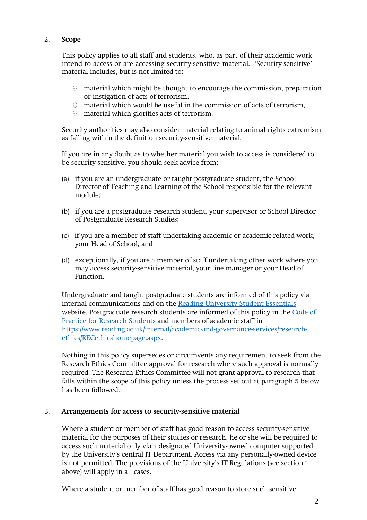# 2. **Scope**

This policy applies to all staff and students, who, as part of their academic work intend to access or are accessing security-sensitive material. 'Security-sensitive' material includes, but is not limited to:

- $\Theta$  material which might be thought to encourage the commission, preparation or instigation of acts of terrorism,
- $\Theta$  material which would be useful in the commission of acts of terrorism,
- material which glorifies acts of terrorism.

Security authorities may also consider material relating to animal rights extremism as falling within the definition security-sensitive material.

If you are in any doubt as to whether material you wish to access is considered to be security-sensitive, you should seek advice from:

- (a) if you are an undergraduate or taught postgraduate student, the School Director of Teaching and Learning of the School responsible for the relevant module;
- (b) if you are a postgraduate research student, your supervisor or School Director of Postgraduate Research Studies;
- (c) if you are a member of staff undertaking academic or academic-related work, your Head of School; and
- (d) exceptionally, if you are a member of staff undertaking other work where you may access security-sensitive material, your line manager or your Head of Function.

Undergraduate and taught postgraduate students are informed of this policy via internal communications and on the [Reading University Student Essentials](http://student.reading.ac.uk/essentials) website. Postgraduate research students are informed of this policy in the [Code](http://www.reading.ac.uk/web/files/qualitysupport/cop_resstudents.pdf) of Practice for [Research Students](http://www.reading.ac.uk/web/files/qualitysupport/cop_resstudents.pdf) and members of academic staff in [https://www.reading.ac.uk/internal/academic-and-governance-services/research](https://www.reading.ac.uk/internal/academic-and-governance-services/research-ethics/RECethicshomepage.aspx)[ethics/RECethicshomepage.aspx.](https://www.reading.ac.uk/internal/academic-and-governance-services/research-ethics/RECethicshomepage.aspx)

Nothing in this policy supersedes or circumvents any requirement to seek from the Research Ethics Committee approval for research where such approval is normally required. The Research Ethics Committee will not grant approval to research that falls within the scope of this policy unless the process set out at paragraph 5 below has been followed.

# 3. **Arrangements for access to security-sensitive material**

Where a student or member of staff has good reason to access security-sensitive material for the purposes of their studies or research, he or she will be required to access such material only via a designated University-owned computer supported by the University's central IT Department. Access via any personally-owned device is not permitted. The provisions of the University's IT Regulations (see section 1 above) will apply in all cases.

Where a student or member of staff has good reason to store such sensitive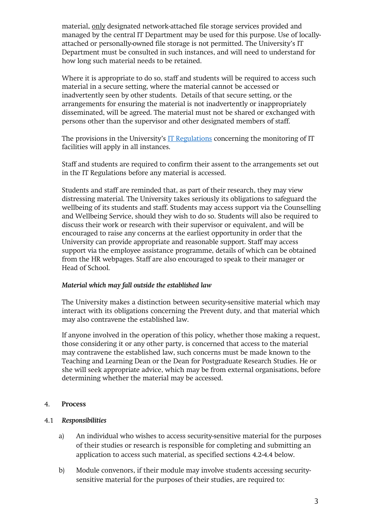material, only designated network-attached file storage services provided and managed by the central IT Department may be used for this purpose. Use of locallyattached or personally-owned file storage is not permitted. The University's IT Department must be consulted in such instances, and will need to understand for how long such material needs to be retained.

Where it is appropriate to do so, staff and students will be required to access such material in a secure setting, where the material cannot be accessed or inadvertently seen by other students. Details of that secure setting, or the arrangements for ensuring the material is not inadvertently or inappropriately disseminated, will be agreed. The material must not be shared or exchanged with persons other than the supervisor and other designated members of staff.

The provisions in the University's IT [Regulations](http://www.reading.ac.uk/web/files/its/Regulations_for_the_use_of_the_University) concerning the monitoring of IT facilities will apply in all instances.

Staff and students are required to confirm their assent to the arrangements set out in the IT Regulations before any material is accessed.

Students and staff are reminded that, as part of their research, they may view distressing material. The University takes seriously its obligations to safeguard the wellbeing of its students and staff. Students may access support via the Counselling and Wellbeing Service, should they wish to do so. Students will also be required to discuss their work or research with their supervisor or equivalent, and will be encouraged to raise any concerns at the earliest opportunity in order that the University can provide appropriate and reasonable support. Staff may access support via the employee assistance programme, details of which can be obtained from the HR webpages. Staff are also encouraged to speak to their manager or Head of School.

# *Material which may fall outside the established law*

The University makes a distinction between security-sensitive material which may interact with its obligations concerning the Prevent duty, and that material which may also contravene the established law.

If anyone involved in the operation of this policy, whether those making a request, those considering it or any other party, is concerned that access to the material may contravene the established law, such concerns must be made known to the Teaching and Learning Dean or the Dean for Postgraduate Research Studies. He or she will seek appropriate advice, which may be from external organisations, before determining whether the material may be accessed.

# 4. **Process**

# 4.1 *Responsibilities*

- a) An individual who wishes to access security-sensitive material for the purposes of their studies or research is responsible for completing and submitting an application to access such material, as specified sections 4.2-4.4 below.
- b) Module convenors, if their module may involve students accessing securitysensitive material for the purposes of their studies, are required to: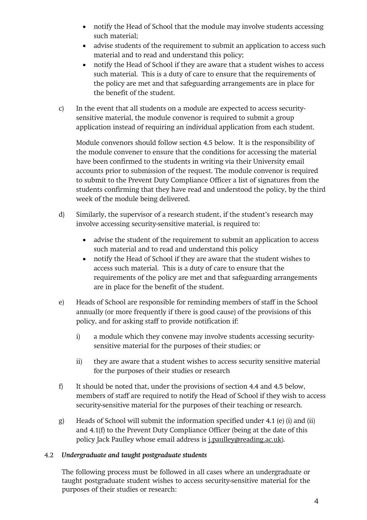- notify the Head of School that the module may involve students accessing such material;
- advise students of the requirement to submit an application to access such material and to read and understand this policy;
- notify the Head of School if they are aware that a student wishes to access such material. This is a duty of care to ensure that the requirements of the policy are met and that safeguarding arrangements are in place for the benefit of the student.
- c) In the event that all students on a module are expected to access securitysensitive material, the module convenor is required to submit a group application instead of requiring an individual application from each student.

Module convenors should follow section 4.5 below. It is the responsibility of the module convener to ensure that the conditions for accessing the material have been confirmed to the students in writing via their University email accounts prior to submission of the request. The module convenor is required to submit to the Prevent Duty Compliance Officer a list of signatures from the students confirming that they have read and understood the policy, by the third week of the module being delivered.

- d) Similarly, the supervisor of a research student, if the student's research may involve accessing security-sensitive material, is required to:
	- advise the student of the requirement to submit an application to access such material and to read and understand this policy
	- notify the Head of School if they are aware that the student wishes to access such material. This is a duty of care to ensure that the requirements of the policy are met and that safeguarding arrangements are in place for the benefit of the student.
- e) Heads of School are responsible for reminding members of staff in the School annually (or more frequently if there is good cause) of the provisions of this policy, and for asking staff to provide notification if:
	- i) a module which they convene may involve students accessing securitysensitive material for the purposes of their studies; or
	- ii) they are aware that a student wishes to access security sensitive material for the purposes of their studies or research
- f) It should be noted that, under the provisions of section 4.4 and 4.5 below, members of staff are required to notify the Head of School if they wish to access security-sensitive material for the purposes of their teaching or research.
- g) Heads of School will submit the information specified under 4.1 (e) (i) and (ii) and 4.1(f) to the Prevent Duty Compliance Officer (being at the date of this policy Jack Paulley whose email address is [j.paulley@reading.ac.uk\)](mailto:j.paulley@reading.ac.uk).

# 4.2 *Undergraduate and taught postgraduate students*

The following process must be followed in all cases where an undergraduate or taught postgraduate student wishes to access security-sensitive material for the purposes of their studies or research: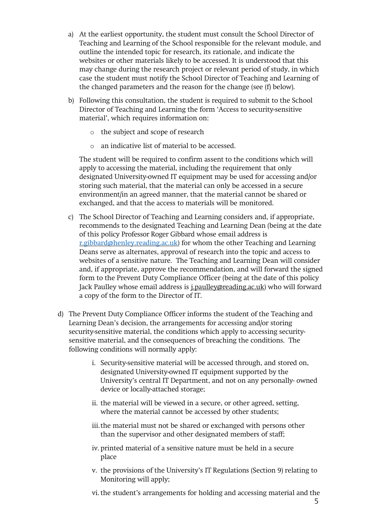- a) At the earliest opportunity, the student must consult the School Director of Teaching and Learning of the School responsible for the relevant module, and outline the intended topic for research, its rationale, and indicate the websites or other materials likely to be accessed. It is understood that this may change during the research project or relevant period of study, in which case the student must notify the School Director of Teaching and Learning of the changed parameters and the reason for the change (see (f) below).
- b) Following this consultation, the student is required to submit to the School Director of Teaching and Learning the form 'Access to security-sensitive material', which requires information on:
	- o the subject and scope of research
	- o an indicative list of material to be accessed.

The student will be required to confirm assent to the conditions which will apply to accessing the material, including the requirement that only designated University-owned IT equipment may be used for accessing and/or storing such material, that the material can only be accessed in a secure environment/in an agreed manner, that the material cannot be shared or exchanged, and that the access to materials will be monitored.

- c) The School Director of Teaching and Learning considers and, if appropriate, recommends to the designated Teaching and Learning Dean (being at the date of this policy Professor Roger Gibbard whose email address is [r.gibbard@henley.reading.ac.uk\)](mailto:r.gibbard@henley.reading.ac.uk) for whom the other Teaching and Learning Deans serve as alternates, approval of research into the topic and access to websites of a sensitive nature. The Teaching and Learning Dean will consider and, if appropriate, approve the recommendation, and will forward the signed form to the Prevent Duty Compliance Officer (being at the date of this policy Jack Paulley whose email address is *j.paulley@reading.ac.uk*) who will forward a copy of the form to the Director of IT.
- d) The Prevent Duty Compliance Officer informs the student of the Teaching and Learning Dean's decision, the arrangements for accessing and/or storing security-sensitive material, the conditions which apply to accessing securitysensitive material, and the consequences of breaching the conditions. The following conditions will normally apply:
	- i. Security-sensitive material will be accessed through, and stored on, designated University-owned IT equipment supported by the University's central IT Department, and not on any personally- owned device or locally-attached storage;
	- ii. the material will be viewed in a secure, or other agreed, setting, where the material cannot be accessed by other students;
	- iii.the material must not be shared or exchanged with persons other than the supervisor and other designated members of staff;
	- iv. printed material of a sensitive nature must be held in a secure place
	- v. the provisions of the University's IT Regulations (Section 9) relating to Monitoring will apply;
	- vi.the student's arrangements for holding and accessing material and the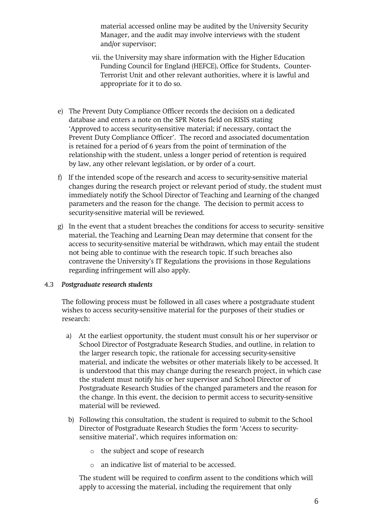material accessed online may be audited by the University Security Manager, and the audit may involve interviews with the student and/or supervisor;

- vii. the University may share information with the Higher Education Funding Council for England (HEFCE), Office for Students, Counter-Terrorist Unit and other relevant authorities, where it is lawful and appropriate for it to do so.
- e) The Prevent Duty Compliance Officer records the decision on a dedicated database and enters a note on the SPR Notes field on RISIS stating 'Approved to access security-sensitive material; if necessary, contact the Prevent Duty Compliance Officer'. The record and associated documentation is retained for a period of 6 years from the point of termination of the relationship with the student, unless a longer period of retention is required by law, any other relevant legislation, or by order of a court.
- f) If the intended scope of the research and access to security-sensitive material changes during the research project or relevant period of study, the student must immediately notify the School Director of Teaching and Learning of the changed parameters and the reason for the change. The decision to permit access to security-sensitive material will be reviewed.
- g) In the event that a student breaches the conditions for access to security- sensitive material, the Teaching and Learning Dean may determine that consent for the access to security-sensitive material be withdrawn, which may entail the student not being able to continue with the research topic. If such breaches also contravene the University's IT Regulations the provisions in those Regulations regarding infringement will also apply.

# 4.3 *Postgraduate research students*

The following process must be followed in all cases where a postgraduate student wishes to access security-sensitive material for the purposes of their studies or research:

- a) At the earliest opportunity, the student must consult his or her supervisor or School Director of Postgraduate Research Studies, and outline, in relation to the larger research topic, the rationale for accessing security-sensitive material, and indicate the websites or other materials likely to be accessed. It is understood that this may change during the research project, in which case the student must notify his or her supervisor and School Director of Postgraduate Research Studies of the changed parameters and the reason for the change. In this event, the decision to permit access to security-sensitive material will be reviewed.
- b) Following this consultation, the student is required to submit to the School Director of Postgraduate Research Studies the form 'Access to securitysensitive material', which requires information on:
	- o the subject and scope of research
	- o an indicative list of material to be accessed.

The student will be required to confirm assent to the conditions which will apply to accessing the material, including the requirement that only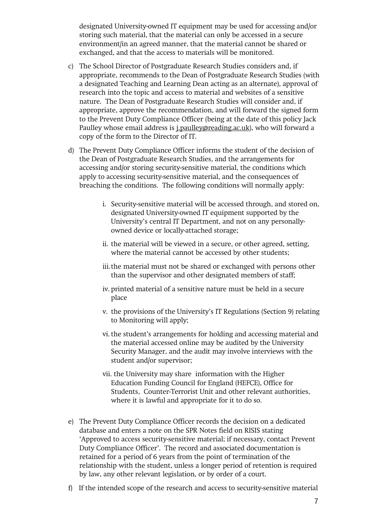designated University-owned IT equipment may be used for accessing and/or storing such material, that the material can only be accessed in a secure environment/in an agreed manner, that the material cannot be shared or exchanged, and that the access to materials will be monitored.

- c) The School Director of Postgraduate Research Studies considers and, if appropriate, recommends to the Dean of Postgraduate Research Studies (with a designated Teaching and Learning Dean acting as an alternate), approval of research into the topic and access to material and websites of a sensitive nature. The Dean of Postgraduate Research Studies will consider and, if appropriate, approve the recommendation, and will forward the signed form to the Prevent Duty Compliance Officer (being at the date of this policy Jack Paulley whose email address is [j.paulley@reading.ac.uk\)](mailto:j.paulley@reading.ac.uk), who will forward a copy of the form to the Director of IT.
- d) The Prevent Duty Compliance Officer informs the student of the decision of the Dean of Postgraduate Research Studies, and the arrangements for accessing and/or storing security-sensitive material, the conditions which apply to accessing security-sensitive material, and the consequences of breaching the conditions. The following conditions will normally apply:
	- i. Security-sensitive material will be accessed through, and stored on, designated University-owned IT equipment supported by the University's central IT Department, and not on any personallyowned device or locally-attached storage;
	- ii. the material will be viewed in a secure, or other agreed, setting, where the material cannot be accessed by other students;
	- iii.the material must not be shared or exchanged with persons other than the supervisor and other designated members of staff;
	- iv. printed material of a sensitive nature must be held in a secure place
	- v. the provisions of the University's IT Regulations (Section 9) relating to Monitoring will apply;
	- vi.the student's arrangements for holding and accessing material and the material accessed online may be audited by the University Security Manager, and the audit may involve interviews with the student and/or supervisor;
	- vii. the University may share information with the Higher Education Funding Council for England (HEFCE), Office for Students, Counter-Terrorist Unit and other relevant authorities, where it is lawful and appropriate for it to do so.
- e) The Prevent Duty Compliance Officer records the decision on a dedicated database and enters a note on the SPR Notes field on RISIS stating 'Approved to access security-sensitive material; if necessary, contact Prevent Duty Compliance Officer'. The record and associated documentation is retained for a period of 6 years from the point of termination of the relationship with the student, unless a longer period of retention is required by law, any other relevant legislation, or by order of a court.
- f) If the intended scope of the research and access to security-sensitive material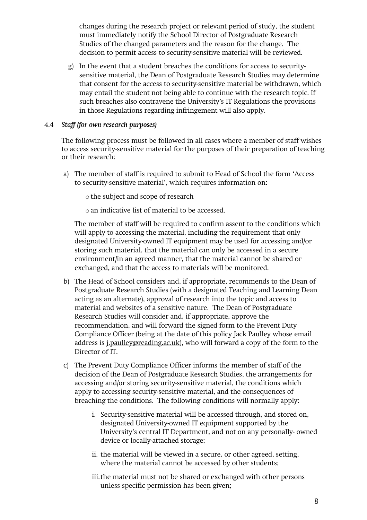changes during the research project or relevant period of study, the student must immediately notify the School Director of Postgraduate Research Studies of the changed parameters and the reason for the change. The decision to permit access to security-sensitive material will be reviewed.

g) In the event that a student breaches the conditions for access to securitysensitive material, the Dean of Postgraduate Research Studies may determine that consent for the access to security-sensitive material be withdrawn, which may entail the student not being able to continue with the research topic. If such breaches also contravene the University's IT Regulations the provisions in those Regulations regarding infringement will also apply.

### 4.4 *Staff (for own research purposes)*

The following process must be followed in all cases where a member of staff wishes to access security-sensitive material for the purposes of their preparation of teaching or their research:

- a) The member of staff is required to submit to Head of School the form 'Access to security-sensitive material', which requires information on:
	- o the subject and scope of research

o an indicative list of material to be accessed.

The member of staff will be required to confirm assent to the conditions which will apply to accessing the material, including the requirement that only designated University-owned IT equipment may be used for accessing and/or storing such material, that the material can only be accessed in a secure environment/in an agreed manner, that the material cannot be shared or exchanged, and that the access to materials will be monitored.

- b) The Head of School considers and, if appropriate, recommends to the Dean of Postgraduate Research Studies (with a designated Teaching and Learning Dean acting as an alternate), approval of research into the topic and access to material and websites of a sensitive nature. The Dean of Postgraduate Research Studies will consider and, if appropriate, approve the recommendation, and will forward the signed form to the Prevent Duty Compliance Officer (being at the date of this policy Jack Paulley whose email address is [j.paulley@reading.ac.uk\)](mailto:j.paulley@reading.ac.uk), who will forward a copy of the form to the Director of IT.
- c) The Prevent Duty Compliance Officer informs the member of staff of the decision of the Dean of Postgraduate Research Studies, the arrangements for accessing and/or storing security-sensitive material, the conditions which apply to accessing security-sensitive material, and the consequences of breaching the conditions. The following conditions will normally apply:
	- i. Security-sensitive material will be accessed through, and stored on, designated University-owned IT equipment supported by the University's central IT Department, and not on any personally- owned device or locally-attached storage;
	- ii. the material will be viewed in a secure, or other agreed, setting, where the material cannot be accessed by other students;
	- iii.the material must not be shared or exchanged with other persons unless specific permission has been given;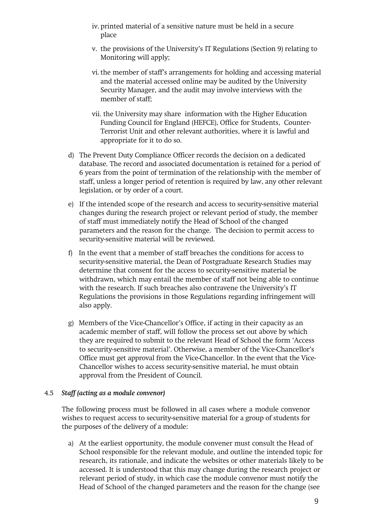- iv. printed material of a sensitive nature must be held in a secure place
- v. the provisions of the University's IT Regulations (Section 9) relating to Monitoring will apply;
- vi.the member of staff's arrangements for holding and accessing material and the material accessed online may be audited by the University Security Manager, and the audit may involve interviews with the member of staff;
- vii. the University may share information with the Higher Education Funding Council for England (HEFCE), Office for Students, Counter-Terrorist Unit and other relevant authorities, where it is lawful and appropriate for it to do so.
- d) The Prevent Duty Compliance Officer records the decision on a dedicated database. The record and associated documentation is retained for a period of 6 years from the point of termination of the relationship with the member of staff, unless a longer period of retention is required by law, any other relevant legislation, or by order of a court.
- e) If the intended scope of the research and access to security-sensitive material changes during the research project or relevant period of study, the member of staff must immediately notify the Head of School of the changed parameters and the reason for the change. The decision to permit access to security-sensitive material will be reviewed.
- f) In the event that a member of staff breaches the conditions for access to security-sensitive material, the Dean of Postgraduate Research Studies may determine that consent for the access to security-sensitive material be withdrawn, which may entail the member of staff not being able to continue with the research. If such breaches also contravene the University's IT Regulations the provisions in those Regulations regarding infringement will also apply.
- g) Members of the Vice-Chancellor's Office, if acting in their capacity as an academic member of staff, will follow the process set out above by which they are required to submit to the relevant Head of School the form 'Access to security-sensitive material'. Otherwise, a member of the Vice-Chancellor's Office must get approval from the Vice-Chancellor. In the event that the Vice-Chancellor wishes to access security-sensitive material, he must obtain approval from the President of Council.

#### 4.5 *Staff (acting as a module convenor)*

The following process must be followed in all cases where a module convenor wishes to request access to security-sensitive material for a group of students for the purposes of the delivery of a module:

a) At the earliest opportunity, the module convener must consult the Head of School responsible for the relevant module, and outline the intended topic for research, its rationale, and indicate the websites or other materials likely to be accessed. It is understood that this may change during the research project or relevant period of study, in which case the module convenor must notify the Head of School of the changed parameters and the reason for the change (see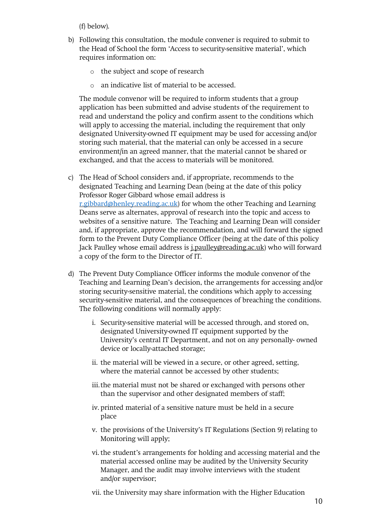(f) below).

- b) Following this consultation, the module convener is required to submit to the Head of School the form 'Access to security-sensitive material', which requires information on:
	- o the subject and scope of research
	- o an indicative list of material to be accessed.

The module convenor will be required to inform students that a group application has been submitted and advise students of the requirement to read and understand the policy and confirm assent to the conditions which will apply to accessing the material, including the requirement that only designated University-owned IT equipment may be used for accessing and/or storing such material, that the material can only be accessed in a secure environment/in an agreed manner, that the material cannot be shared or exchanged, and that the access to materials will be monitored.

- c) The Head of School considers and, if appropriate, recommends to the designated Teaching and Learning Dean (being at the date of this policy Professor Roger Gibbard whose email address is [r.gibbard@henley.reading.ac.uk\)](mailto:r.gibbard@henley.reading.ac.uk) for whom the other Teaching and Learning Deans serve as alternates, approval of research into the topic and access to websites of a sensitive nature. The Teaching and Learning Dean will consider and, if appropriate, approve the recommendation, and will forward the signed form to the Prevent Duty Compliance Officer (being at the date of this policy Jack Paulley whose email address is *j.paulley@reading.ac.uk*) who will forward a copy of the form to the Director of IT.
- d) The Prevent Duty Compliance Officer informs the module convenor of the Teaching and Learning Dean's decision, the arrangements for accessing and/or storing security-sensitive material, the conditions which apply to accessing security-sensitive material, and the consequences of breaching the conditions. The following conditions will normally apply:
	- i. Security-sensitive material will be accessed through, and stored on, designated University-owned IT equipment supported by the University's central IT Department, and not on any personally- owned device or locally-attached storage;
	- ii. the material will be viewed in a secure, or other agreed, setting, where the material cannot be accessed by other students;
	- iii.the material must not be shared or exchanged with persons other than the supervisor and other designated members of staff;
	- iv. printed material of a sensitive nature must be held in a secure place
	- v. the provisions of the University's IT Regulations (Section 9) relating to Monitoring will apply;
	- vi.the student's arrangements for holding and accessing material and the material accessed online may be audited by the University Security Manager, and the audit may involve interviews with the student and/or supervisor;

vii. the University may share information with the Higher Education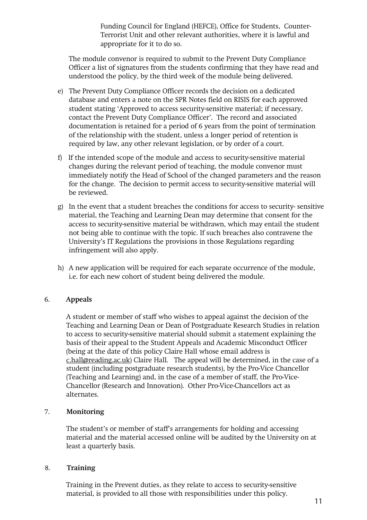Funding Council for England (HEFCE), Office for Students, Counter-Terrorist Unit and other relevant authorities, where it is lawful and appropriate for it to do so.

The module convenor is required to submit to the Prevent Duty Compliance Officer a list of signatures from the students confirming that they have read and understood the policy, by the third week of the module being delivered.

- e) The Prevent Duty Compliance Officer records the decision on a dedicated database and enters a note on the SPR Notes field on RISIS for each approved student stating 'Approved to access security-sensitive material; if necessary, contact the Prevent Duty Compliance Officer'. The record and associated documentation is retained for a period of 6 years from the point of termination of the relationship with the student, unless a longer period of retention is required by law, any other relevant legislation, or by order of a court.
- f) If the intended scope of the module and access to security-sensitive material changes during the relevant period of teaching, the module convenor must immediately notify the Head of School of the changed parameters and the reason for the change. The decision to permit access to security-sensitive material will be reviewed.
- g) In the event that a student breaches the conditions for access to security- sensitive material, the Teaching and Learning Dean may determine that consent for the access to security-sensitive material be withdrawn, which may entail the student not being able to continue with the topic. If such breaches also contravene the University's IT Regulations the provisions in those Regulations regarding infringement will also apply.
- h) A new application will be required for each separate occurrence of the module, i.e. for each new cohort of student being delivered the module.

# 6. **Appeals**

A student or member of staff who wishes to appeal against the decision of the Teaching and Learning Dean or Dean of Postgraduate Research Studies in relation to access to security-sensitive material should submit a statement explaining the basis of their appeal to the Student Appeals and Academic Misconduct Officer (being at the date of this policy Claire Hall whose email address is [c.hall@reading.ac.uk\)](mailto:c.hall@reading.ac.uk) Claire Hall. The appeal will be determined, in the case of a student (including postgraduate research students), by the Pro-Vice Chancellor (Teaching and Learning) and, in the case of a member of staff, the Pro-Vice-Chancellor (Research and Innovation). Other Pro-Vice-Chancellors act as alternates.

#### 7. **Monitoring**

The student's or member of staff's arrangements for holding and accessing material and the material accessed online will be audited by the University on at least a quarterly basis.

#### 8. **Training**

Training in the Prevent duties, as they relate to access to security-sensitive material, is provided to all those with responsibilities under this policy.